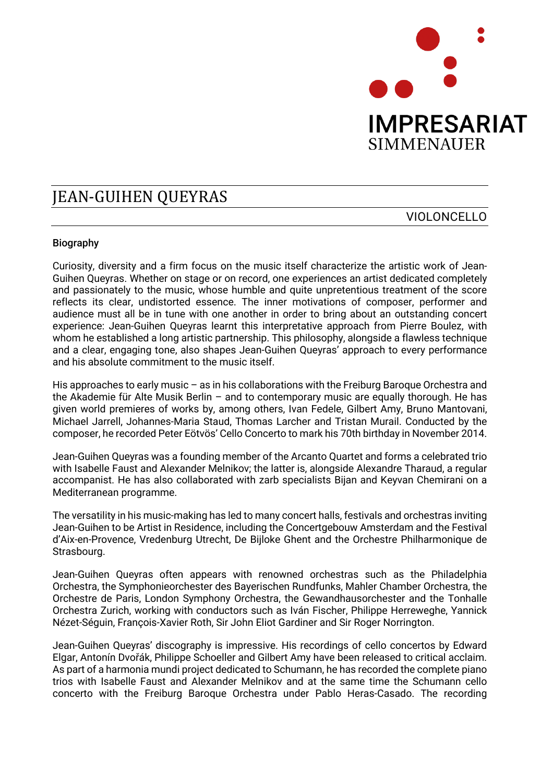

## **IEAN-GUIHEN OUEYRAS**

## VIOLONCELLO

## Biography

Curiosity, diversity and a firm focus on the music itself characterize the artistic work of Jean-Guihen Queyras. Whether on stage or on record, one experiences an artist dedicated completely and passionately to the music, whose humble and quite unpretentious treatment of the score reflects its clear, undistorted essence. The inner motivations of composer, performer and audience must all be in tune with one another in order to bring about an outstanding concert experience: Jean-Guihen Queyras learnt this interpretative approach from Pierre Boulez, with whom he established a long artistic partnership. This philosophy, alongside a flawless technique and a clear, engaging tone, also shapes Jean-Guihen Queyras' approach to every performance and his absolute commitment to the music itself.

His approaches to early music – as in his collaborations with the Freiburg Baroque Orchestra and the Akademie für Alte Musik Berlin – and to contemporary music are equally thorough. He has given world premieres of works by, among others, Ivan Fedele, Gilbert Amy, Bruno Mantovani, Michael Jarrell, Johannes-Maria Staud, Thomas Larcher and Tristan Murail. Conducted by the composer, he recorded Peter Eötvös' Cello Concerto to mark his 70th birthday in November 2014.

Jean-Guihen Queyras was a founding member of the Arcanto Quartet and forms a celebrated trio with Isabelle Faust and Alexander Melnikov; the latter is, alongside Alexandre Tharaud, a regular accompanist. He has also collaborated with zarb specialists Bijan and Keyvan Chemirani on a Mediterranean programme.

The versatility in his music-making has led to many concert halls, festivals and orchestras inviting Jean-Guihen to be Artist in Residence, including the Concertgebouw Amsterdam and the Festival d'Aix-en-Provence, Vredenburg Utrecht, De Bijloke Ghent and the Orchestre Philharmonique de Strasbourg.

Jean-Guihen Queyras often appears with renowned orchestras such as the Philadelphia Orchestra, the Symphonieorchester des Bayerischen Rundfunks, Mahler Chamber Orchestra, the Orchestre de Paris, London Symphony Orchestra, the Gewandhausorchester and the Tonhalle Orchestra Zurich, working with conductors such as Iván Fischer, Philippe Herreweghe, Yannick Nézet-Séguin, François-Xavier Roth, Sir John Eliot Gardiner and Sir Roger Norrington.

Jean-Guihen Queyras' discography is impressive. His recordings of cello concertos by Edward Elgar, Antonín Dvořák, Philippe Schoeller and Gilbert Amy have been released to critical acclaim. As part of a harmonia mundi project dedicated to Schumann, he has recorded the complete piano trios with Isabelle Faust and Alexander Melnikov and at the same time the Schumann cello concerto with the Freiburg Baroque Orchestra under Pablo Heras-Casado. The recording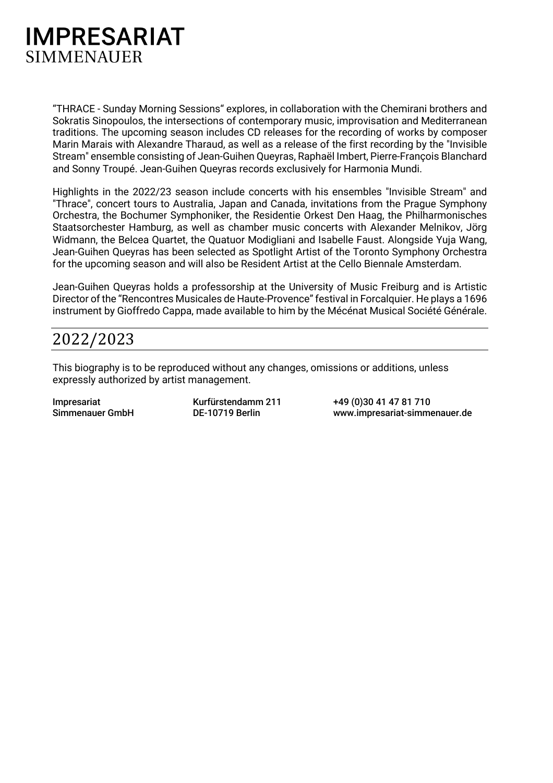

"THRACE - Sunday Morning Sessions" explores, in collaboration with the Chemirani brothers and Sokratis Sinopoulos, the intersections of contemporary music, improvisation and Mediterranean traditions. The upcoming season includes CD releases for the recording of works by composer Marin Marais with Alexandre Tharaud, as well as a release of the first recording by the "Invisible Stream" ensemble consisting of Jean-Guihen Queyras, Raphaël Imbert, Pierre-François Blanchard and Sonny Troupé. Jean-Guihen Queyras records exclusively for Harmonia Mundi.

Highlights in the 2022/23 season include concerts with his ensembles "Invisible Stream" and "Thrace", concert tours to Australia, Japan and Canada, invitations from the Prague Symphony Orchestra, the Bochumer Symphoniker, the Residentie Orkest Den Haag, the Philharmonisches Staatsorchester Hamburg, as well as chamber music concerts with Alexander Melnikov, Jörg Widmann, the Belcea Quartet, the Quatuor Modigliani and Isabelle Faust. Alongside Yuja Wang, Jean-Guihen Queyras has been selected as Spotlight Artist of the Toronto Symphony Orchestra for the upcoming season and will also be Resident Artist at the Cello Biennale Amsterdam.

Jean-Guihen Queyras holds a professorship at the University of Music Freiburg and is Artistic Director of the "Rencontres Musicales de Haute-Provence" festival in Forcalquier. He plays a 1696 instrument by Gioffredo Cappa, made available to him by the Mécénat Musical Société Générale.

## 2022/2023

This biography is to be reproduced without any changes, omissions or additions, unless expressly authorized by artist management.

Impresariat Simmenauer GmbH Kurfürstendamm 211 DE-10719 Berlin

+49 (0)30 41 47 81 710 www.impresariat-simmenauer.de